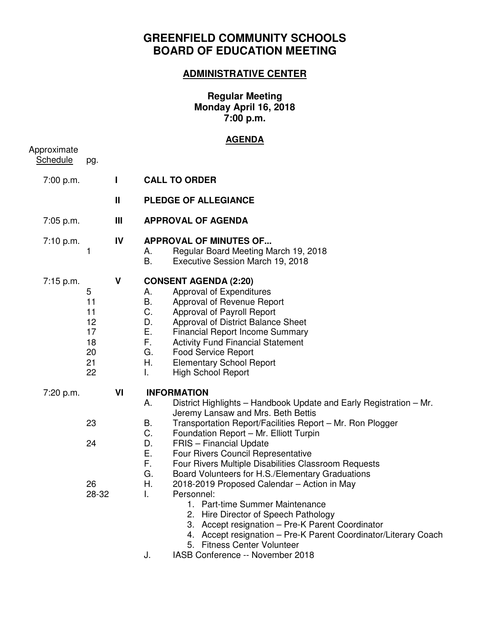# **GREENFIELD COMMUNITY SCHOOLS BOARD OF EDUCATION MEETING**

## **ADMINISTRATIVE CENTER**

#### **Regular Meeting Monday April 16, 2018 7:00 p.m.**

### **AGENDA**

| pg.                                               |                |                                                                                                                                                                                                                                                                                                                                                                                                                                                                                                                                                                                                                                                                                                                                                                                                                         |
|---------------------------------------------------|----------------|-------------------------------------------------------------------------------------------------------------------------------------------------------------------------------------------------------------------------------------------------------------------------------------------------------------------------------------------------------------------------------------------------------------------------------------------------------------------------------------------------------------------------------------------------------------------------------------------------------------------------------------------------------------------------------------------------------------------------------------------------------------------------------------------------------------------------|
|                                                   | L              | <b>CALL TO ORDER</b>                                                                                                                                                                                                                                                                                                                                                                                                                                                                                                                                                                                                                                                                                                                                                                                                    |
|                                                   | $\mathbf{I}$   | <b>PLEDGE OF ALLEGIANCE</b>                                                                                                                                                                                                                                                                                                                                                                                                                                                                                                                                                                                                                                                                                                                                                                                             |
|                                                   | $\mathbf{III}$ | <b>APPROVAL OF AGENDA</b>                                                                                                                                                                                                                                                                                                                                                                                                                                                                                                                                                                                                                                                                                                                                                                                               |
| 1                                                 | IV             | <b>APPROVAL OF MINUTES OF</b><br>Regular Board Meeting March 19, 2018<br>А.<br>В.<br>Executive Session March 19, 2018                                                                                                                                                                                                                                                                                                                                                                                                                                                                                                                                                                                                                                                                                                   |
| 5<br>11<br>11<br>12<br>17<br>18<br>20<br>21<br>22 | V              | <b>CONSENT AGENDA (2:20)</b><br>Approval of Expenditures<br>А.<br>В.<br>Approval of Revenue Report<br>C.<br>Approval of Payroll Report<br>D.<br>Approval of District Balance Sheet<br>Ε.<br><b>Financial Report Income Summary</b><br>F.<br><b>Activity Fund Financial Statement</b><br>G.<br><b>Food Service Report</b><br>Η.<br><b>Elementary School Report</b><br>I.<br><b>High School Report</b>                                                                                                                                                                                                                                                                                                                                                                                                                    |
| 23<br>24<br>26<br>28-32                           | VI             | <b>INFORMATION</b><br>District Highlights - Handbook Update and Early Registration - Mr.<br>А.<br>Jeremy Lansaw and Mrs. Beth Bettis<br>B.<br>Transportation Report/Facilities Report - Mr. Ron Plogger<br>C.<br>Foundation Report - Mr. Elliott Turpin<br>D.<br><b>FRIS</b> - Financial Update<br>Ε.<br>Four Rivers Council Representative<br>F.<br>Four Rivers Multiple Disabilities Classroom Requests<br>G.<br>Board Volunteers for H.S./Elementary Graduations<br>Η.<br>2018-2019 Proposed Calendar - Action in May<br>L.<br>Personnel:<br>1. Part-time Summer Maintenance<br>2. Hire Director of Speech Pathology<br>3. Accept resignation - Pre-K Parent Coordinator<br>4. Accept resignation - Pre-K Parent Coordinator/Literary Coach<br>5. Fitness Center Volunteer<br>J.<br>IASB Conference -- November 2018 |
|                                                   |                |                                                                                                                                                                                                                                                                                                                                                                                                                                                                                                                                                                                                                                                                                                                                                                                                                         |